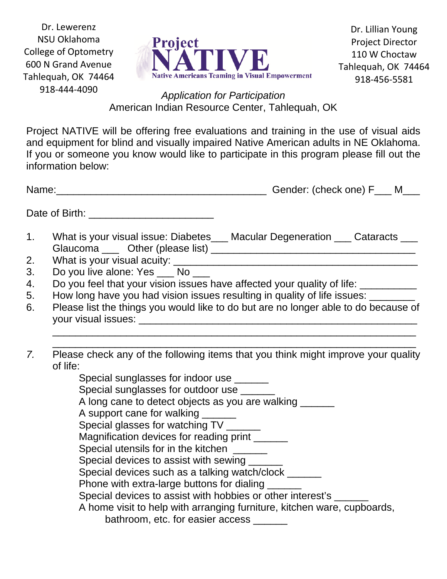Dr. Lewerenz NSU Oklahoma College of Optometry 600 N Grand Avenue Tahlequah, OK 74464 918‐444‐4090



Dr. Lillian Young Project Director 110 W Choctaw Tahlequah, OK 74464 918‐456‐5581

*Application for Participation*  American Indian Resource Center, Tahlequah, OK

Project NATIVE will be offering free evaluations and training in the use of visual aids and equipment for blind and visually impaired Native American adults in NE Oklahoma. If you or someone you know would like to participate in this program please fill out the information below:

|    | Gender: (check one) F___ M___<br>Name:                                                                     |
|----|------------------------------------------------------------------------------------------------------------|
|    | Date of Birth: New York 1999                                                                               |
| 1. | What is your visual issue: Diabetes___ Macular Degeneration ___ Cataracts ___                              |
| 2. | What is your visual acuity: What is your visual acuity:                                                    |
| 3. | Do you live alone: Yes ___ No ___                                                                          |
| 4. | Do you feel that your vision issues have affected your quality of life: ________                           |
| 5. | How long have you had vision issues resulting in quality of life issues: ________                          |
| 6. | Please list the things you would like to do but are no longer able to do because of<br>your visual issues: |
|    |                                                                                                            |
|    |                                                                                                            |

*7.* Please check any of the following items that you think might improve your quality of life:

Special sunglasses for indoor use \_\_\_\_\_\_ Special sunglasses for outdoor use A long cane to detect objects as you are walking A support cane for walking \_\_\_\_\_\_ Special glasses for watching TV Magnification devices for reading print \_\_\_\_\_\_ Special utensils for in the kitchen Special devices to assist with sewing Special devices such as a talking watch/clock \_\_\_\_\_\_ Phone with extra-large buttons for dialing Special devices to assist with hobbies or other interest's \_\_\_\_\_\_ A home visit to help with arranging furniture, kitchen ware, cupboards, bathroom, etc. for easier access \_\_\_\_\_\_